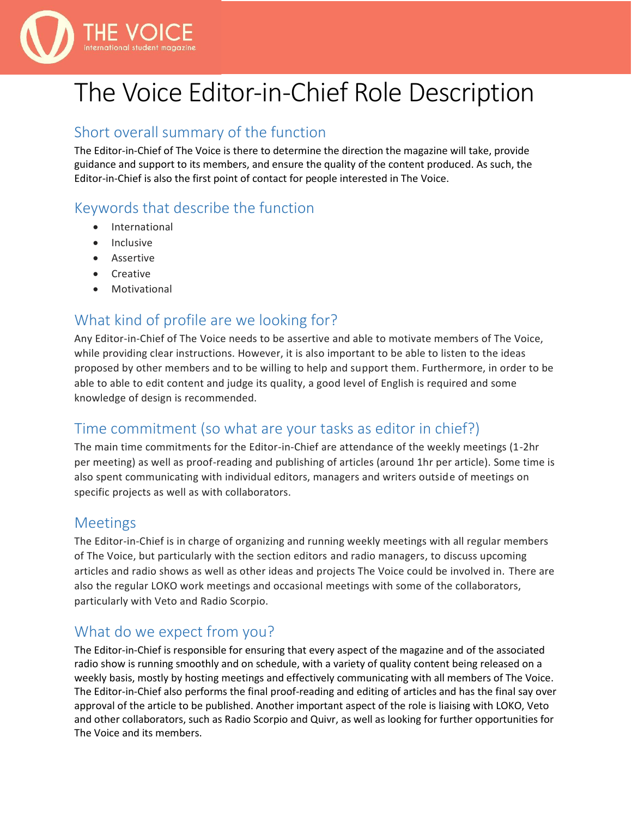

# The Voice Editor-in-Chief Role Description

#### Short overall summary of the function

The Editor-in-Chief of The Voice is there to determine the direction the magazine will take, provide guidance and support to its members, and ensure the quality of the content produced. As such, the Editor-in-Chief is also the first point of contact for people interested in The Voice.

### Keywords that describe the function

- **International**
- **Inclusive**
- Assertive
- Creative
- **Motivational**

## What kind of profile are we looking for?

Any Editor-in-Chief of The Voice needs to be assertive and able to motivate members of The Voice, while providing clear instructions. However, it is also important to be able to listen to the ideas proposed by other members and to be willing to help and support them. Furthermore, in order to be able to able to edit content and judge its quality, a good level of English is required and some knowledge of design is recommended.

# Time commitment (so what are your tasks as editor in chief?)

The main time commitments for the Editor-in-Chief are attendance of the weekly meetings (1-2hr per meeting) as well as proof-reading and publishing of articles (around 1hr per article). Some time is also spent communicating with individual editors, managers and writers outside of meetings on specific projects as well as with collaborators.

#### Meetings

The Editor-in-Chief is in charge of organizing and running weekly meetings with all regular members of The Voice, but particularly with the section editors and radio managers, to discuss upcoming articles and radio shows as well as other ideas and projects The Voice could be involved in. There are also the regular LOKO work meetings and occasional meetings with some of the collaborators, particularly with Veto and Radio Scorpio.

#### What do we expect from you?

The Editor-in-Chief is responsible for ensuring that every aspect of the magazine and of the associated radio show is running smoothly and on schedule, with a variety of quality content being released on a weekly basis, mostly by hosting meetings and effectively communicating with all members of The Voice. The Editor-in-Chief also performs the final proof-reading and editing of articles and has the final say over approval of the article to be published. Another important aspect of the role is liaising with LOKO, Veto and other collaborators, such as Radio Scorpio and Quivr, as well as looking for further opportunities for The Voice and its members.